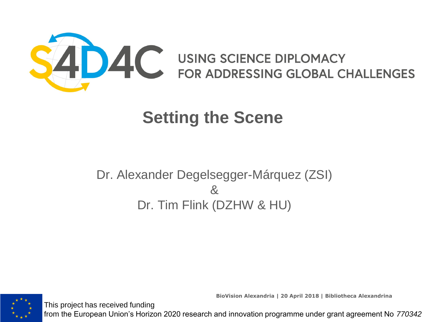

Dr. Alexander Degelsegger-Márquez (ZSI) & Dr. Tim Flink (DZHW & HU)



This project has received funding

**BioVision Alexandria | 20 April 2018 | Bibliotheca Alexandrina**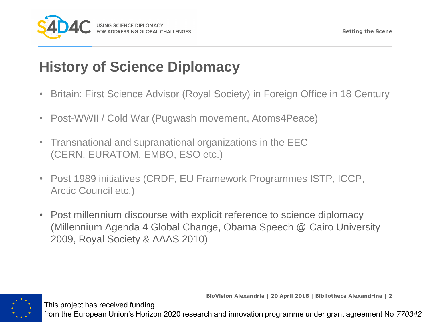

## **History of Science Diplomacy**

- Britain: First Science Advisor (Royal Society) in Foreign Office in 18 Century
- Post-WWII / Cold War (Pugwash movement, Atoms4Peace)
- Transnational and supranational organizations in the EEC (CERN, EURATOM, EMBO, ESO etc.)
- Post 1989 initiatives (CRDF, EU Framework Programmes ISTP, ICCP, Arctic Council etc.)
- Post millennium discourse with explicit reference to science diplomacy (Millennium Agenda 4 Global Change, Obama Speech @ Cairo University 2009, Royal Society & AAAS 2010)

This project has received funding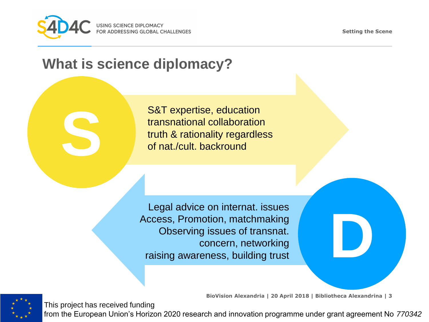

**S**

This project has received funding

**Setting the Scene**

**D**

#### **What is science diplomacy?**

S&T expertise, education transnational collaboration truth & rationality regardless of nat./cult. backround

Legal advice on internat. issues Access, Promotion, matchmaking Observing issues of transnat. concern, networking raising awareness, building trust

**BioVision Alexandria | 20 April 2018 | Bibliotheca Alexandrina | 3**

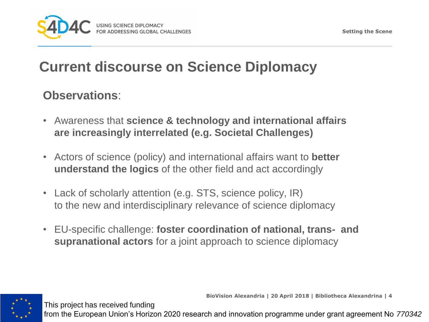

### **Current discourse on Science Diplomacy**

#### **Observations**:

This project has received funding

- Awareness that **science & technology and international affairs are increasingly interrelated (e.g. Societal Challenges)**
- Actors of science (policy) and international affairs want to **better understand the logics** of the other field and act accordingly
- Lack of scholarly attention (e.g. STS, science policy, IR) to the new and interdisciplinary relevance of science diplomacy
- EU-specific challenge: **foster coordination of national, trans- and supranational actors** for a joint approach to science diplomacy

**BioVision Alexandria | 20 April 2018 | Bibliotheca Alexandrina | 4**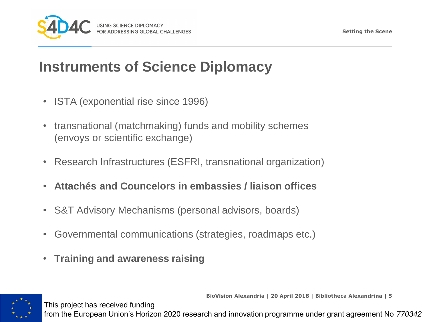

#### **Instruments of Science Diplomacy**

- ISTA (exponential rise since 1996)
- transnational (matchmaking) funds and mobility schemes (envoys or scientific exchange)
- Research Infrastructures (ESFRI, transnational organization)
- **Attachés and Councelors in embassies / liaison offices**
- S&T Advisory Mechanisms (personal advisors, boards)
- Governmental communications (strategies, roadmaps etc.)
- **Training and awareness raising**

This project has received funding



**BioVision Alexandria | 20 April 2018 | Bibliotheca Alexandrina | 5**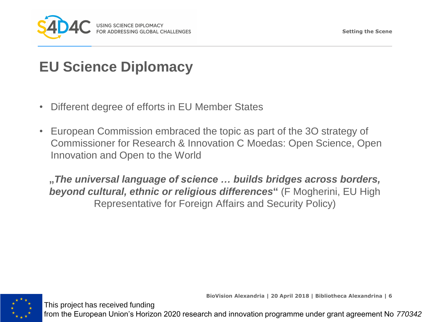

#### **EU Science Diplomacy**

This project has received funding

- Different degree of efforts in EU Member States
- European Commission embraced the topic as part of the 3O strategy of Commissioner for Research & Innovation C Moedas: Open Science, Open Innovation and Open to the World

**"***The universal language of science … builds bridges across borders, beyond cultural, ethnic or religious differences***"** (F Mogherini, EU High Representative for Foreign Affairs and Security Policy)



**BioVision Alexandria | 20 April 2018 | Bibliotheca Alexandrina | 6**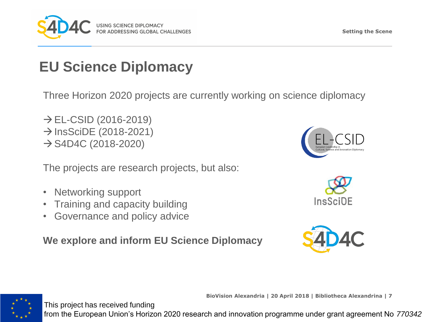

### **EU Science Diplomacy**

Three Horizon 2020 projects are currently working on science diplomacy

 $\rightarrow$  EL-CSID (2016-2019)  $\rightarrow$  InsSciDE (2018-2021)  $\rightarrow$  S4D4C (2018-2020)

The projects are research projects, but also:

- Networking support
- Training and capacity building
- Governance and policy advice

**We explore and inform EU Science Diplomacy**







**BioVision Alexandria | 20 April 2018 | Bibliotheca Alexandrina | 7**



This project has received funding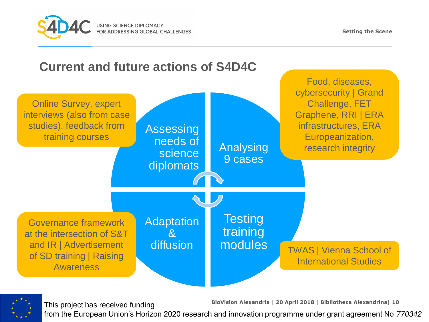





This project has received funding

**BioVision Alexandria | 20 April 2018 | Bibliotheca Alexandrina| 10**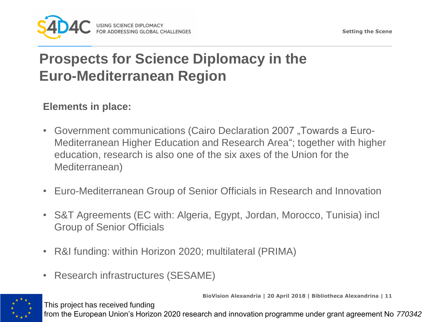

## **Prospects for Science Diplomacy in the Euro-Mediterranean Region**

#### **Elements in place:**

- Government communications (Cairo Declaration 2007, Towards a Euro-Mediterranean Higher Education and Research Area"; together with higher education, research is also one of the six axes of the Union for the Mediterranean)
- Euro-Mediterranean Group of Senior Officials in Research and Innovation
- S&T Agreements (EC with: Algeria, Egypt, Jordan, Morocco, Tunisia) incl Group of Senior Officials
- R&I funding: within Horizon 2020; multilateral (PRIMA)
- Research infrastructures (SESAME)

This project has received funding

**BioVision Alexandria | 20 April 2018 | Bibliotheca Alexandrina | 11**

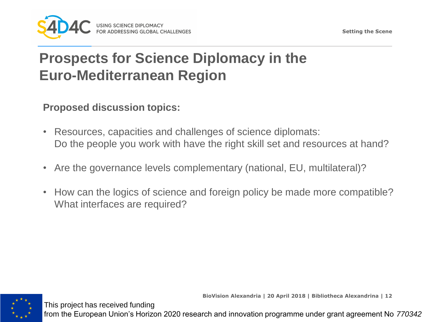

## **Prospects for Science Diplomacy in the Euro-Mediterranean Region**

#### **Proposed discussion topics:**

This project has received funding

- Resources, capacities and challenges of science diplomats: Do the people you work with have the right skill set and resources at hand?
- Are the governance levels complementary (national, EU, multilateral)?
- How can the logics of science and foreign policy be made more compatible? What interfaces are required?



**BioVision Alexandria | 20 April 2018 | Bibliotheca Alexandrina | 12**